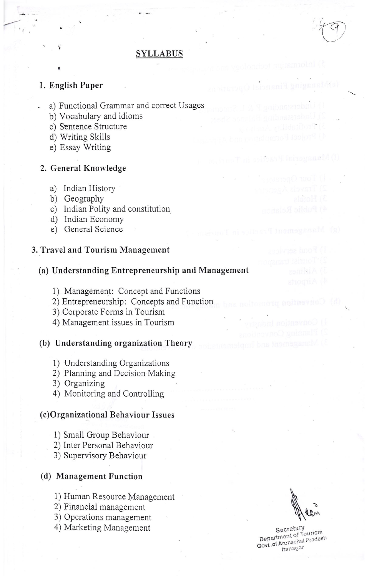# SYLLABUS

# 1. English Paper

ti

- a) Functional Grammar and correct Usages
	- b) Vocabulary and idioms
	- c) Sentence Structure
	- d) Writing Skills
	- e) Essay Writing

#### 2. General Knowledge

- a) Indian History
- b) Geography
- c) Indian Polity and constitution
- d) Indian Economy
- e) General Science

#### 3. Travel and Tourism Management

# (a) Understanding Entrepreneurship and Management

- 1) Management: Concept and Functions
- 2) Entrepreneurship: Concepts and Function
- 3) Corporate Forms in Tourism
- 4) Management issues in Tourism

# (b) Understanding organization Theory

- i) Understanding Organizations
- 2) Planning and Decision Making
- 3) Organizing
- 4) Monitoring and Controlling

#### (c)Organizational Behaviour Issues

- 1) Smali Group Behaviour
- 2) Inter Personal Behaviour
- 3) Supervisory Behaviour

## (d) Management Function

- 1) Human Resource Management
- 2) Financial management
- 3) Operations management
- 4) Marketing Management

 $\overline{\phantom{a}}$ 

o

Ray Isiyayanal (1)

Secretary Department of Tourism<br>Govt .of Arunachal Pradesh<br>Itanagar